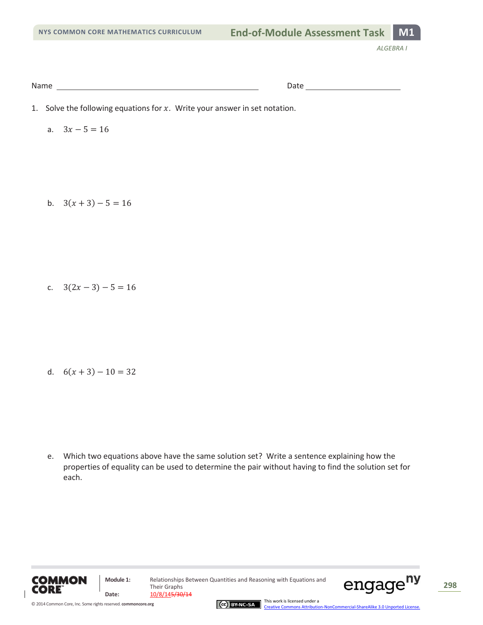Name Date

- 1. Solve the following equations for  $x$ . Write your answer in set notation.
	- a.  $3x 5 = 16$

b.  $3(x+3)-5=16$ 

c.  $3(2x-3)-5=16$ 

d.  $6(x+3)-10=32$ 

e. Which two equations above have the same solution set? Write a sentence explaining how the properties of equality can be used to determine the pair without having to find the solution set for each.



Their Graphs **Date:** 10/8/145/30/14

**Module 1:** Relationships Between Quantities and Reasoning with Equations and





This work is licensed under a [Creative Commons Attribution-NonCommercial-ShareAlike 3.0 Unported License.](http://creativecommons.org/licenses/by-nc-sa/3.0/deed.en_US)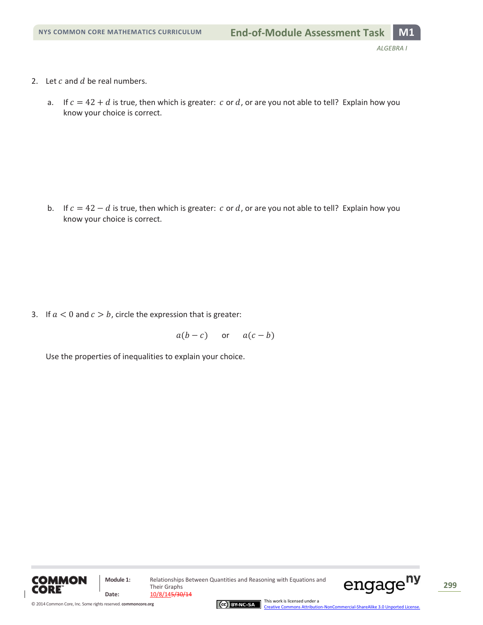- 2. Let  $c$  and  $d$  be real numbers.
	- a. If  $c = 42 + d$  is true, then which is greater: c or d, or are you not able to tell? Explain how you know your choice is correct.

b. If  $c = 42 - d$  is true, then which is greater: c or d, or are you not able to tell? Explain how you know your choice is correct.

3. If  $a < 0$  and  $c > b$ , circle the expression that is greater:

 $a(b - c)$  or  $a(c - b)$ 

Use the properties of inequalities to explain your choice.



© 2014 Common Core, Inc[. Some rights reserved.](http://creativecommons.org/licenses/by-nc-sa/3.0/deed.en_US) **commoncore.org**

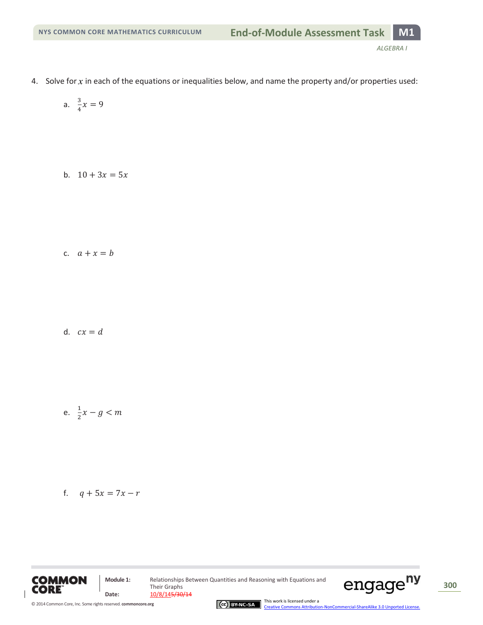- 4. Solve for x in each of the equations or inequalities below, and name the property and/or properties used:
	- a.  $\frac{3}{4}$  $\frac{5}{4}x$
	- b.  $10 + 3x = 5x$

c.  $a + x = b$ 

d.  $cx = d$ 

$$
e. \quad \frac{1}{2}x - g < m
$$

f. 
$$
q + 5x = 7x - r
$$



Their Graphs **Date:** 10/8/145/30/14

**Module 1:** Relationships Between Quantities and Reasoning with Equations and



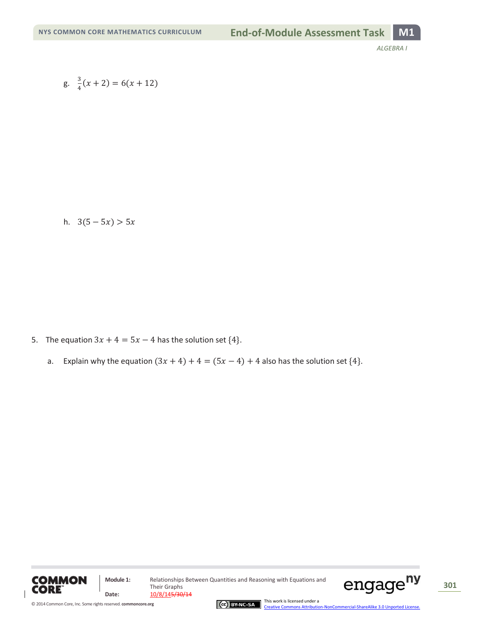g. 
$$
\frac{3}{4}(x+2) = 6(x+12)
$$

h.  $3(5-5x) > 5x$ 

- 5. The equation  $3x + 4 = 5x 4$  has the solution set  $\{4\}$ .
	- a. Explain why the equation  $(3x + 4) + 4 = (5x 4) + 4$  also has the solution set  $\{4\}$ .



**Module 1:** Relationships Between Quantities and Reasoning with Equations and Their Graphs **Date:** 10/8/145/30/14

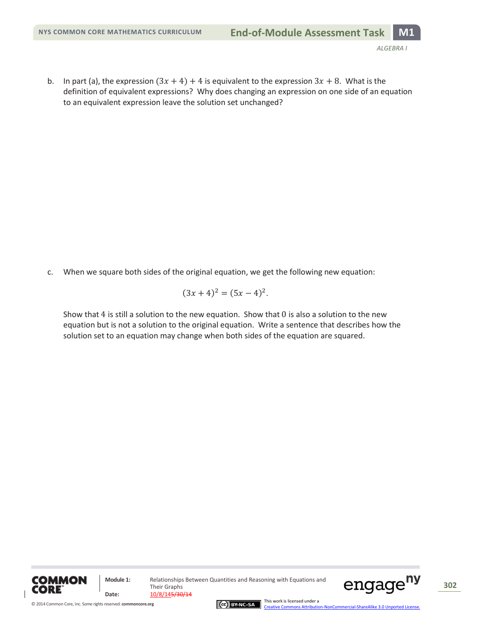b. In part (a), the expression  $(3x + 4) + 4$  is equivalent to the expression  $3x + 8$ . What is the definition of equivalent expressions? Why does changing an expression on one side of an equation to an equivalent expression leave the solution set unchanged?

c. When we square both sides of the original equation, we get the following new equation:

$$
(3x+4)^2 = (5x-4)^2.
$$

Show that 4 is still a solution to the new equation. Show that  $0$  is also a solution to the new equation but is not a solution to the original equation. Write a sentence that describes how the solution set to an equation may change when both sides of the equation are squared.



**Module 1:** Relationships Between Quantities and Reasoning with Equations and Their Graphs **Date:** 10/8/145/30/14



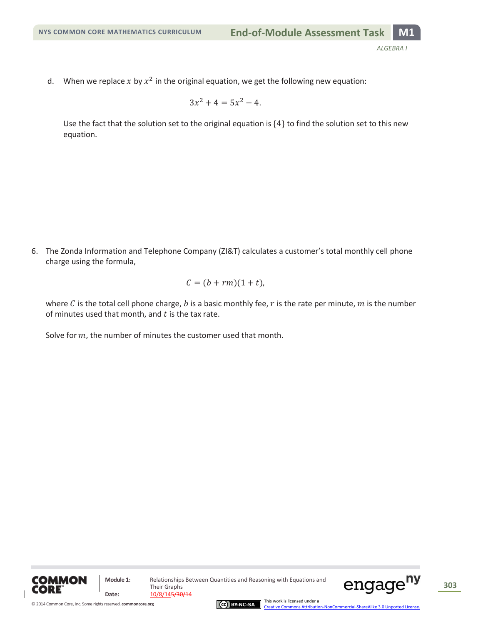d. When we replace x by  $x^2$  in the original equation, we get the following new equation:

$$
3x^2 + 4 = 5x^2 - 4.
$$

Use the fact that the solution set to the original equation is  $\{4\}$  to find the solution set to this new equation.

6. The Zonda Information and Telephone Company (ZI&T) calculates a customer's total monthly cell phone charge using the formula,

$$
C = (b + rm)(1 + t),
$$

where C is the total cell phone charge, b is a basic monthly fee, r is the rate per minute, m is the number of minutes used that month, and  $t$  is the tax rate.

Solve for  $m$ , the number of minutes the customer used that month.



**Module 1:** Relationships Between Quantities and Reasoning with Equations and Their Graphs Date:  $\frac{10/8/145/30/14}{10}$ 





This work is licensed under a [Creative Commons Attribution-NonCommercial-ShareAlike 3.0 Unported License.](http://creativecommons.org/licenses/by-nc-sa/3.0/deed.en_US)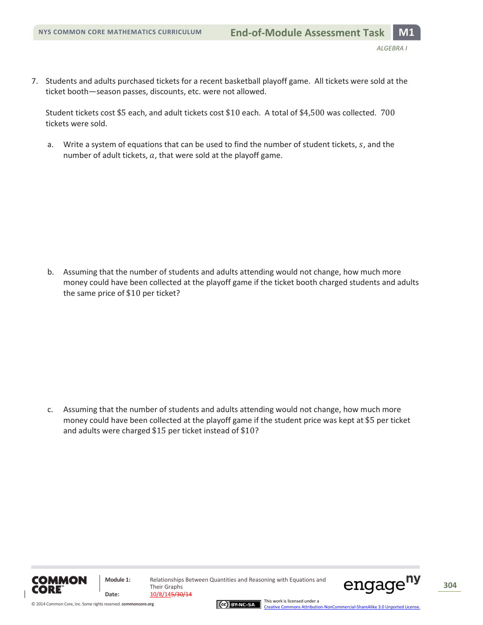7. Students and adults purchased tickets for a recent basketball playoff game. All tickets were sold at the ticket booth—season passes, discounts, etc. were not allowed.

Student tickets cost \$5 each, and adult tickets cost \$10 each. A total of \$4,500 was collected.  $700$ tickets were sold.

a. Write a system of equations that can be used to find the number of student tickets,  $s$ , and the number of adult tickets,  $a$ , that were sold at the playoff game.

b. Assuming that the number of students and adults attending would not change, how much more money could have been collected at the playoff game if the ticket booth charged students and adults the same price of  $$10$  per ticket?

c. Assuming that the number of students and adults attending would not change, how much more money could have been collected at the playoff game if the student price was kept at \$5 per ticket and adults were charged  $$15$  per ticket instead of  $$10?$ 





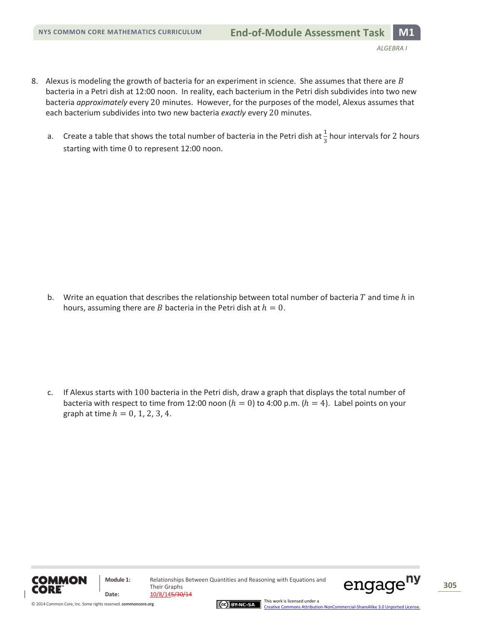- 8. Alexus is modeling the growth of bacteria for an experiment in science. She assumes that there are  $B$ bacteria in a Petri dish at 12:00 noon. In reality, each bacterium in the Petri dish subdivides into two new bacteria *approximately* every 20 minutes. However, for the purposes of the model, Alexus assumes that each bacterium subdivides into two new bacteria *exactly* every 20 minutes.
	- a. Create a table that shows the total number of bacteria in the Petri dish at  $\frac{1}{3}$  hour intervals for 2 hours starting with time 0 to represent 12:00 noon.

b. Write an equation that describes the relationship between total number of bacteria  $T$  and time  $h$  in hours, assuming there are *B* bacteria in the Petri dish at  $h = 0$ .

c. If Alexus starts with 100 bacteria in the Petri dish, draw a graph that displays the total number of bacteria with respect to time from 12:00 noon ( $h = 0$ ) to 4:00 p.m. ( $h = 4$ ). Label points on your graph at time  $h = 0, 1, 2, 3, 4$ .



**Module 1:** Relationships Between Quantities and Reasoning with Equations and Their Graphs **Date:** 10/8/145/30/14



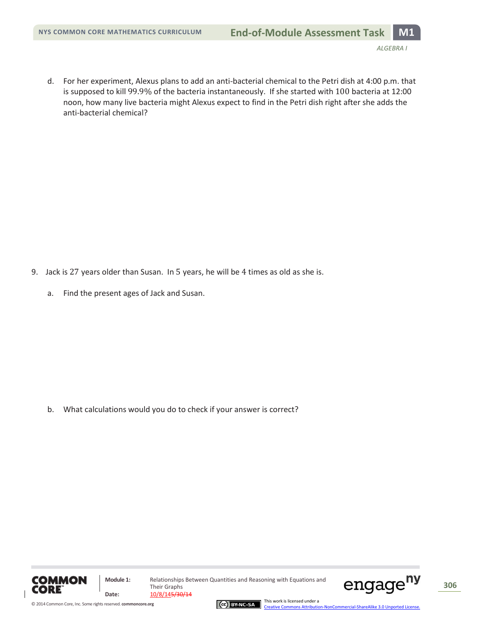d. For her experiment, Alexus plans to add an anti-bacterial chemical to the Petri dish at 4:00 p.m. that is supposed to kill 99.9% of the bacteria instantaneously. If she started with 100 bacteria at 12:00 noon, how many live bacteria might Alexus expect to find in the Petri dish right after she adds the anti-bacterial chemical?

- 9. Jack is 27 years older than Susan. In 5 years, he will be 4 times as old as she is.
	- a. Find the present ages of Jack and Susan.

b. What calculations would you do to check if your answer is correct?



© 2014 Common Core, Inc[. Some rights reserved.](http://creativecommons.org/licenses/by-nc-sa/3.0/deed.en_US) **commoncore.org**

**Module 1:** Relationships Between Quantities and Reasoning with Equations and Their Graphs Date:  $\frac{10/8/145/30/14}{10}$ 

CC BY-NC-SA

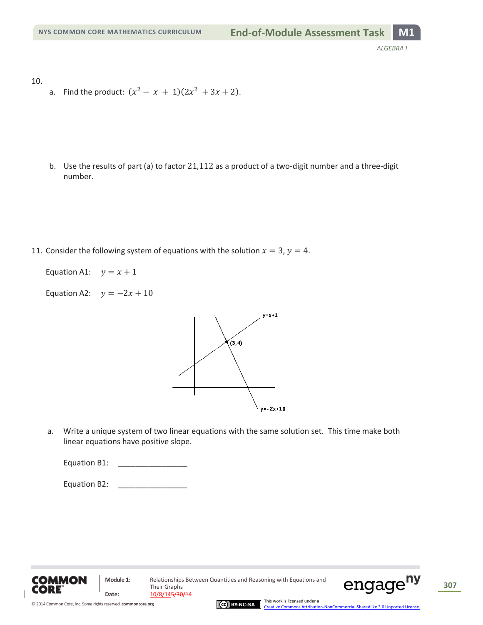10.

a. Find the product:  $(x^2 - x + 1)(2x^2 + 3x + 2)$ .

b. Use the results of part (a) to factor  $21,112$  as a product of a two-digit number and a three-digit number.

11. Consider the following system of equations with the solution  $x = 3$ ,  $y = 4$ .

Equation A1:  $y = x + 1$ 

Equation A2:  $y = -2x + 10$ 



a. Write a unique system of two linear equations with the same solution set. This time make both linear equations have positive slope.







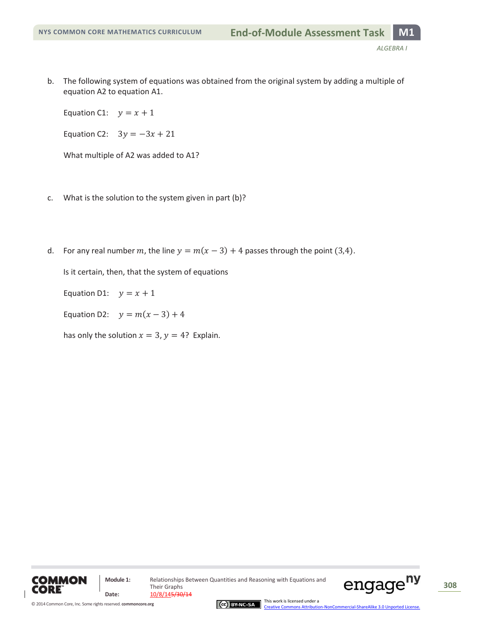b. The following system of equations was obtained from the original system by adding a multiple of equation A2 to equation A1.

Equation C1:  $y = x + 1$ 

Equation C2:  $3y = -3x + 21$ 

What multiple of A2 was added to A1?

- c. What is the solution to the system given in part (b)?
- d. For any real number m, the line  $y = m(x 3) + 4$  passes through the point (3,4).

Is it certain, then, that the system of equations

Equation D1:  $y = x + 1$ 

Equation D2:  $y = m(x - 3) + 4$ 

has only the solution  $x = 3$ ,  $y = 4$ ? Explain.





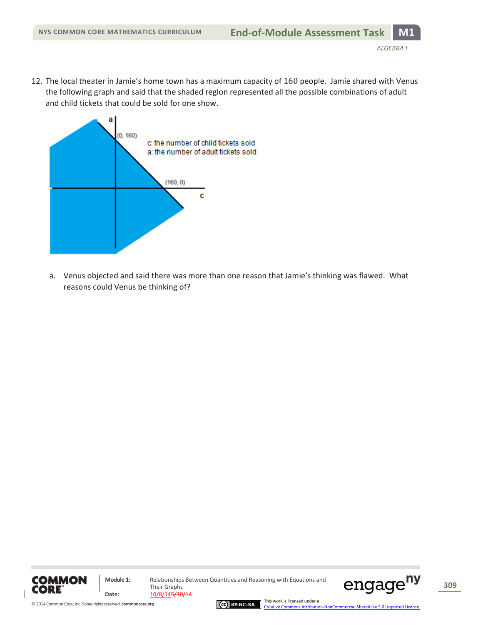12. The local theater in Jamie's home town has a maximum capacity of 160 people. Jamie shared with Venus the following graph and said that the shaded region represented all the possible combinations of adult and child tickets that could be sold for one show.



a. Venus objected and said there was more than one reason that Jamie's thinking was flawed. What reasons could Venus be thinking of?







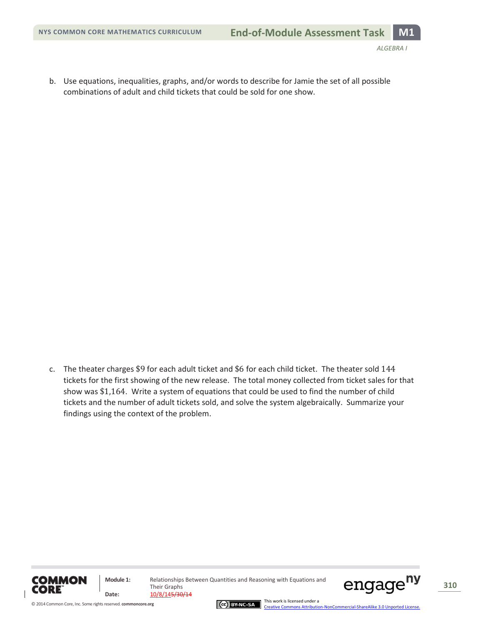b. Use equations, inequalities, graphs, and/or words to describe for Jamie the set of all possible combinations of adult and child tickets that could be sold for one show.

c. The theater charges \$9 for each adult ticket and \$6 for each child ticket. The theater sold 144 tickets for the first showing of the new release. The total money collected from ticket sales for that show was  $$1,164$ . Write a system of equations that could be used to find the number of child tickets and the number of adult tickets sold, and solve the system algebraically. Summarize your findings using the context of the problem.



**Module 1:** Relationships Between Quantities and Reasoning with Equations and Their Graphs **Date:** 10/8/145/30/14





This work is licensed under a [Creative Commons Attribution-NonCommercial-ShareAlike 3.0 Unported License.](http://creativecommons.org/licenses/by-nc-sa/3.0/deed.en_US)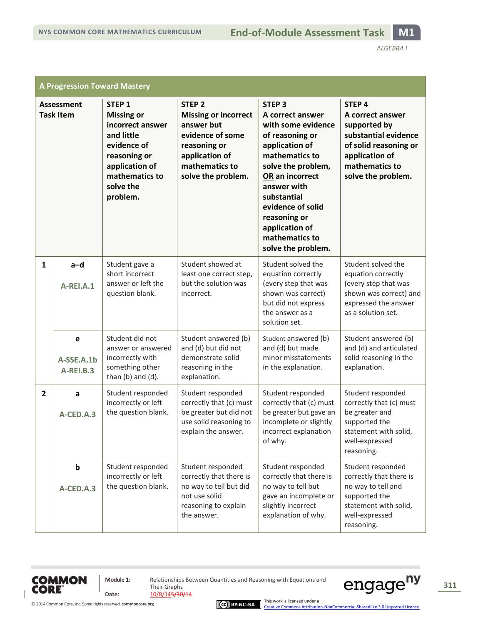| <b>A Progression Toward Mastery</b>   |                              |                                                                                                                                                                      |                                                                                                                                                              |                                                                                                                                                                                                                                                                                      |                                                                                                                                                                  |
|---------------------------------------|------------------------------|----------------------------------------------------------------------------------------------------------------------------------------------------------------------|--------------------------------------------------------------------------------------------------------------------------------------------------------------|--------------------------------------------------------------------------------------------------------------------------------------------------------------------------------------------------------------------------------------------------------------------------------------|------------------------------------------------------------------------------------------------------------------------------------------------------------------|
| <b>Assessment</b><br><b>Task Item</b> |                              | STEP <sub>1</sub><br><b>Missing or</b><br>incorrect answer<br>and little<br>evidence of<br>reasoning or<br>application of<br>mathematics to<br>solve the<br>problem. | STEP <sub>2</sub><br><b>Missing or incorrect</b><br>answer but<br>evidence of some<br>reasoning or<br>application of<br>mathematics to<br>solve the problem. | <b>STEP 3</b><br>A correct answer<br>with some evidence<br>of reasoning or<br>application of<br>mathematics to<br>solve the problem,<br>OR an incorrect<br>answer with<br>substantial<br>evidence of solid<br>reasoning or<br>application of<br>mathematics to<br>solve the problem. | STEP <sub>4</sub><br>A correct answer<br>supported by<br>substantial evidence<br>of solid reasoning or<br>application of<br>mathematics to<br>solve the problem. |
| $\mathbf{1}$                          | $a-d$<br>A-REI.A.1           | Student gave a<br>short incorrect<br>answer or left the<br>question blank.                                                                                           | Student showed at<br>least one correct step,<br>but the solution was<br>incorrect.                                                                           | Student solved the<br>equation correctly<br>(every step that was<br>shown was correct)<br>but did not express<br>the answer as a<br>solution set.                                                                                                                                    | Student solved the<br>equation correctly<br>(every step that was<br>shown was correct) and<br>expressed the answer<br>as a solution set.                         |
|                                       | e<br>A-SSE.A.1b<br>A-REI.B.3 | Student did not<br>answer or answered<br>incorrectly with<br>something other<br>than (b) and (d).                                                                    | Student answered (b)<br>and (d) but did not<br>demonstrate solid<br>reasoning in the<br>explanation.                                                         | Student answered (b)<br>and (d) but made<br>minor misstatements<br>in the explanation.                                                                                                                                                                                               | Student answered (b)<br>and (d) and articulated<br>solid reasoning in the<br>explanation.                                                                        |
| $\overline{2}$                        | a<br>A-CED.A.3               | Student responded<br>incorrectly or left<br>the question blank.                                                                                                      | Student responded<br>correctly that (c) must<br>be greater but did not<br>use solid reasoning to<br>explain the answer.                                      | Student responded<br>correctly that (c) must<br>be greater but gave an<br>incomplete or slightly<br>incorrect explanation<br>of why.                                                                                                                                                 | Student responded<br>correctly that (c) must<br>be greater and<br>supported the<br>statement with solid,<br>well-expressed<br>reasoning.                         |
|                                       | $\mathbf b$<br>A-CED.A.3     | Student responded<br>incorrectly or left<br>the question blank.                                                                                                      | Student responded<br>correctly that there is<br>no way to tell but did<br>not use solid<br>reasoning to explain<br>the answer.                               | Student responded<br>correctly that there is<br>no way to tell but<br>gave an incomplete or<br>slightly incorrect<br>explanation of why.                                                                                                                                             | Student responded<br>correctly that there is<br>no way to tell and<br>supported the<br>statement with solid,<br>well-expressed<br>reasoning.                     |



 $\overline{1}$ 

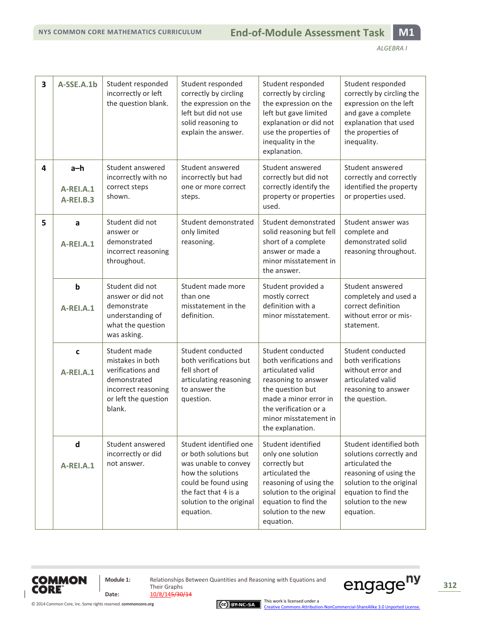| $\overline{\mathbf{3}}$ | A-SSE.A.1b                      | Student responded<br>incorrectly or left<br>the question blank.                                                                | Student responded<br>correctly by circling<br>the expression on the<br>left but did not use<br>solid reasoning to<br>explain the answer.                                              | Student responded<br>correctly by circling<br>the expression on the<br>left but gave limited<br>explanation or did not<br>use the properties of<br>inequality in the<br>explanation.                       | Student responded<br>correctly by circling the<br>expression on the left<br>and gave a complete<br>explanation that used<br>the properties of<br>inequality.                            |
|-------------------------|---------------------------------|--------------------------------------------------------------------------------------------------------------------------------|---------------------------------------------------------------------------------------------------------------------------------------------------------------------------------------|------------------------------------------------------------------------------------------------------------------------------------------------------------------------------------------------------------|-----------------------------------------------------------------------------------------------------------------------------------------------------------------------------------------|
| 4                       | $a-h$<br>A-REI.A.1<br>A-REI.B.3 | Student answered<br>incorrectly with no<br>correct steps<br>shown.                                                             | Student answered<br>incorrectly but had<br>one or more correct<br>steps.                                                                                                              | Student answered<br>correctly but did not<br>correctly identify the<br>property or properties<br>used.                                                                                                     | Student answered<br>correctly and correctly<br>identified the property<br>or properties used.                                                                                           |
| 5                       | a<br>A-REI.A.1                  | Student did not<br>answer or<br>demonstrated<br>incorrect reasoning<br>throughout.                                             | Student demonstrated<br>only limited<br>reasoning.                                                                                                                                    | Student demonstrated<br>solid reasoning but fell<br>short of a complete<br>answer or made a<br>minor misstatement in<br>the answer.                                                                        | Student answer was<br>complete and<br>demonstrated solid<br>reasoning throughout.                                                                                                       |
|                         | $\mathbf b$<br>A-REI.A.1        | Student did not<br>answer or did not<br>demonstrate<br>understanding of<br>what the question<br>was asking.                    | Student made more<br>than one<br>misstatement in the<br>definition.                                                                                                                   | Student provided a<br>mostly correct<br>definition with a<br>minor misstatement.                                                                                                                           | Student answered<br>completely and used a<br>correct definition<br>without error or mis-<br>statement.                                                                                  |
|                         | $\mathbf c$<br>A-REI.A.1        | Student made<br>mistakes in both<br>verifications and<br>demonstrated<br>incorrect reasoning<br>or left the question<br>blank. | Student conducted<br>both verifications but<br>fell short of<br>articulating reasoning<br>to answer the<br>question.                                                                  | Student conducted<br>both verifications and<br>articulated valid<br>reasoning to answer<br>the question but<br>made a minor error in<br>the verification or a<br>minor misstatement in<br>the explanation. | Student conducted<br>both verifications<br>without error and<br>articulated valid<br>reasoning to answer<br>the question.                                                               |
|                         | $\mathsf{d}$<br>A-REI.A.1       | Student answered<br>incorrectly or did<br>not answer.                                                                          | Student identified one<br>or both solutions but<br>was unable to convey<br>how the solutions<br>could be found using<br>the fact that 4 is a<br>solution to the original<br>equation. | Student identified<br>only one solution<br>correctly but<br>articulated the<br>reasoning of using the<br>solution to the original<br>equation to find the<br>solution to the new<br>equation.              | Student identified both<br>solutions correctly and<br>articulated the<br>reasoning of using the<br>solution to the original<br>equation to find the<br>solution to the new<br>equation. |

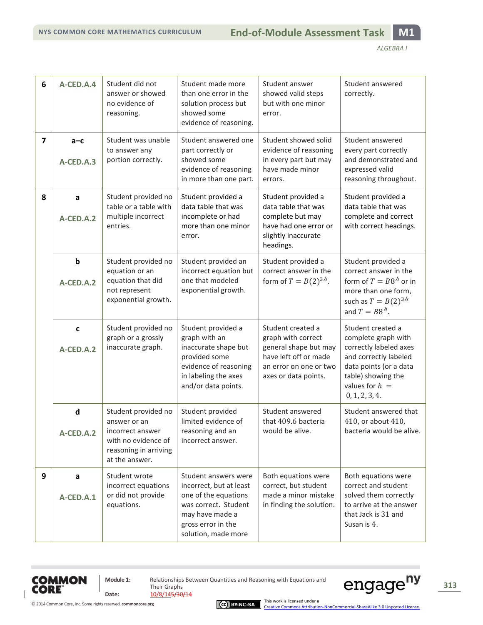| 6                       | A-CED.A.4                              | Student did not<br>answer or showed<br>no evidence of<br>reasoning.                                                       | Student made more<br>than one error in the<br>solution process but<br>showed some<br>evidence of reasoning.                                                     | Student answer<br>showed valid steps<br>but with one minor<br>error.                                                                        | Student answered<br>correctly.                                                                                                                                                    |
|-------------------------|----------------------------------------|---------------------------------------------------------------------------------------------------------------------------|-----------------------------------------------------------------------------------------------------------------------------------------------------------------|---------------------------------------------------------------------------------------------------------------------------------------------|-----------------------------------------------------------------------------------------------------------------------------------------------------------------------------------|
| $\overline{\mathbf{z}}$ | $a-c$<br>A-CED.A.3                     | Student was unable<br>to answer any<br>portion correctly.                                                                 | Student answered one<br>part correctly or<br>showed some<br>evidence of reasoning<br>in more than one part.                                                     | Student showed solid<br>evidence of reasoning<br>in every part but may<br>have made minor<br>errors.                                        | Student answered<br>every part correctly<br>and demonstrated and<br>expressed valid<br>reasoning throughout.                                                                      |
| 8                       | a<br>A-CED.A.2                         | Student provided no<br>table or a table with<br>multiple incorrect<br>entries.                                            | Student provided a<br>data table that was<br>incomplete or had<br>more than one minor<br>error.                                                                 | Student provided a<br>data table that was<br>complete but may<br>have had one error or<br>slightly inaccurate<br>headings.                  | Student provided a<br>data table that was<br>complete and correct<br>with correct headings.                                                                                       |
|                         | $\boldsymbol{\mathsf{b}}$<br>A-CED.A.2 | Student provided no<br>equation or an<br>equation that did<br>not represent<br>exponential growth.                        | Student provided an<br>incorrect equation but<br>one that modeled<br>exponential growth.                                                                        | Student provided a<br>correct answer in the<br>form of $T = B(2)^{3h}$ .                                                                    | Student provided a<br>correct answer in the<br>form of $T = B8h$ or in<br>more than one form,<br>such as $T = B(2)^{3h}$<br>and $T = B8h$ .                                       |
|                         | $\mathbf c$<br>A-CED.A.2               | Student provided no<br>graph or a grossly<br>inaccurate graph.                                                            | Student provided a<br>graph with an<br>inaccurate shape but<br>provided some<br>evidence of reasoning<br>in labeling the axes<br>and/or data points.            | Student created a<br>graph with correct<br>general shape but may<br>have left off or made<br>an error on one or two<br>axes or data points. | Student created a<br>complete graph with<br>correctly labeled axes<br>and correctly labeled<br>data points (or a data<br>table) showing the<br>values for $h =$<br>0, 1, 2, 3, 4. |
|                         | $\mathsf{d}$<br>A-CED.A.2              | Student provided no<br>answer or an<br>incorrect answer<br>with no evidence of<br>reasoning in arriving<br>at the answer. | Student provided<br>limited evidence of<br>reasoning and an<br>incorrect answer.                                                                                | Student answered<br>that 409.6 bacteria<br>would be alive.                                                                                  | Student answered that<br>410, or about 410,<br>bacteria would be alive.                                                                                                           |
| 9                       | a<br>A-CED.A.1                         | Student wrote<br>incorrect equations<br>or did not provide<br>equations.                                                  | Student answers were<br>incorrect, but at least<br>one of the equations<br>was correct. Student<br>may have made a<br>gross error in the<br>solution, made more | Both equations were<br>correct, but student<br>made a minor mistake<br>in finding the solution.                                             | Both equations were<br>correct and student<br>solved them correctly<br>to arrive at the answer<br>that Jack is 31 and<br>Susan is 4.                                              |





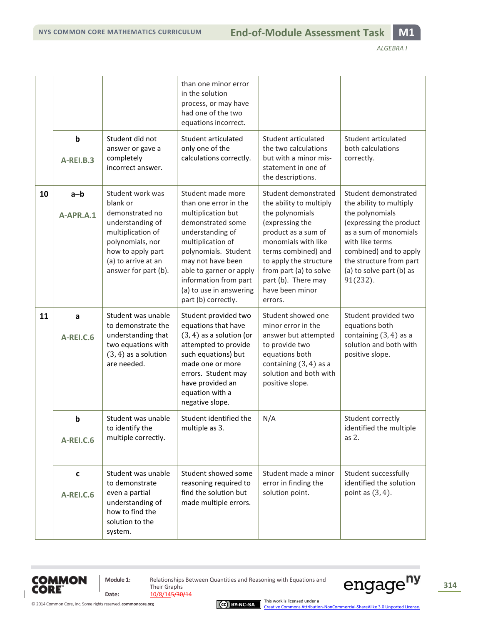|    |                                 |                                                                                                                                                                                  | than one minor error<br>in the solution<br>process, or may have<br>had one of the two<br>equations incorrect.                                                                                                                                                                     |                                                                                                                                                                                                                                                                     |                                                                                                                                                                                                                                           |
|----|---------------------------------|----------------------------------------------------------------------------------------------------------------------------------------------------------------------------------|-----------------------------------------------------------------------------------------------------------------------------------------------------------------------------------------------------------------------------------------------------------------------------------|---------------------------------------------------------------------------------------------------------------------------------------------------------------------------------------------------------------------------------------------------------------------|-------------------------------------------------------------------------------------------------------------------------------------------------------------------------------------------------------------------------------------------|
|    | $\mathbf b$<br><b>A-REI.B.3</b> | Student did not<br>answer or gave a<br>completely<br>incorrect answer.                                                                                                           | Student articulated<br>only one of the<br>calculations correctly.                                                                                                                                                                                                                 | Student articulated<br>the two calculations<br>but with a minor mis-<br>statement in one of<br>the descriptions.                                                                                                                                                    | Student articulated<br>both calculations<br>correctly.                                                                                                                                                                                    |
| 10 | $a-b$<br>A-APR.A.1              | Student work was<br>blank or<br>demonstrated no<br>understanding of<br>multiplication of<br>polynomials, nor<br>how to apply part<br>(a) to arrive at an<br>answer for part (b). | Student made more<br>than one error in the<br>multiplication but<br>demonstrated some<br>understanding of<br>multiplication of<br>polynomials. Student<br>may not have been<br>able to garner or apply<br>information from part<br>(a) to use in answering<br>part (b) correctly. | Student demonstrated<br>the ability to multiply<br>the polynomials<br>(expressing the<br>product as a sum of<br>monomials with like<br>terms combined) and<br>to apply the structure<br>from part (a) to solve<br>part (b). There may<br>have been minor<br>errors. | Student demonstrated<br>the ability to multiply<br>the polynomials<br>(expressing the product<br>as a sum of monomials<br>with like terms<br>combined) and to apply<br>the structure from part<br>(a) to solve part (b) as<br>$91(232)$ . |
| 11 | a<br><b>A-REI.C.6</b>           | Student was unable<br>to demonstrate the<br>understanding that<br>two equations with<br>$(3, 4)$ as a solution<br>are needed.                                                    | Student provided two<br>equations that have<br>$(3, 4)$ as a solution (or<br>attempted to provide<br>such equations) but<br>made one or more<br>errors. Student may<br>have provided an<br>equation with a<br>negative slope.                                                     | Student showed one<br>minor error in the<br>answer but attempted<br>to provide two<br>equations both<br>containing $(3, 4)$ as a<br>solution and both with<br>positive slope.                                                                                       | Student provided two<br>equations both<br>containing $(3, 4)$ as a<br>solution and both with<br>positive slope.                                                                                                                           |
|    | b<br><b>A-REI.C.6</b>           | Student was unable<br>to identify the<br>multiple correctly.                                                                                                                     | Student identified the<br>multiple as 3.                                                                                                                                                                                                                                          | N/A                                                                                                                                                                                                                                                                 | Student correctly<br>identified the multiple<br>as 2.                                                                                                                                                                                     |
|    | $\mathbf c$<br><b>A-REI.C.6</b> | Student was unable<br>to demonstrate<br>even a partial<br>understanding of<br>how to find the<br>solution to the<br>system.                                                      | Student showed some<br>reasoning required to<br>find the solution but<br>made multiple errors.                                                                                                                                                                                    | Student made a minor<br>error in finding the<br>solution point.                                                                                                                                                                                                     | Student successfully<br>identified the solution<br>point as $(3, 4)$ .                                                                                                                                                                    |



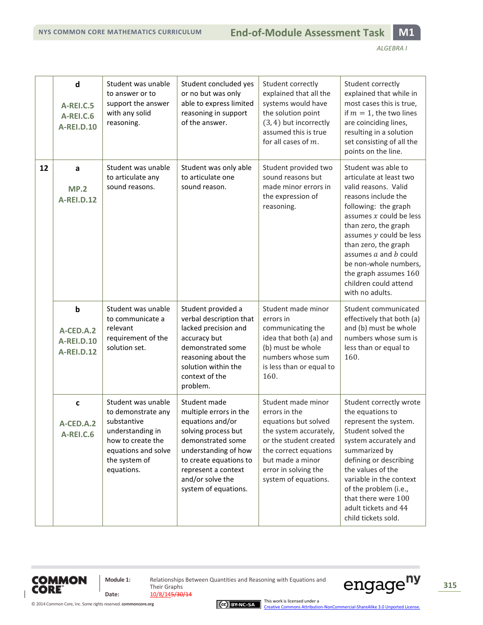|    | $\mathsf{d}$<br><b>A-REI.C.5</b><br><b>A-REI.C.6</b><br><b>A-REI.D.10</b> | Student was unable<br>to answer or to<br>support the answer<br>with any solid<br>reasoning.                                                            | Student concluded yes<br>or no but was only<br>able to express limited<br>reasoning in support<br>of the answer.                                                                                                            | Student correctly<br>explained that all the<br>systems would have<br>the solution point<br>$(3, 4)$ but incorrectly<br>assumed this is true<br>for all cases of $m$ .                                        | Student correctly<br>explained that while in<br>most cases this is true,<br>if $m = 1$ , the two lines<br>are coinciding lines,<br>resulting in a solution<br>set consisting of all the<br>points on the line.                                                                                                                                           |
|----|---------------------------------------------------------------------------|--------------------------------------------------------------------------------------------------------------------------------------------------------|-----------------------------------------------------------------------------------------------------------------------------------------------------------------------------------------------------------------------------|--------------------------------------------------------------------------------------------------------------------------------------------------------------------------------------------------------------|----------------------------------------------------------------------------------------------------------------------------------------------------------------------------------------------------------------------------------------------------------------------------------------------------------------------------------------------------------|
| 12 | a<br><b>MP.2</b><br><b>A-REI.D.12</b>                                     | Student was unable<br>to articulate any<br>sound reasons.                                                                                              | Student was only able<br>to articulate one<br>sound reason.                                                                                                                                                                 | Student provided two<br>sound reasons but<br>made minor errors in<br>the expression of<br>reasoning.                                                                                                         | Student was able to<br>articulate at least two<br>valid reasons. Valid<br>reasons include the<br>following: the graph<br>assumes $x$ could be less<br>than zero, the graph<br>assumes y could be less<br>than zero, the graph<br>assumes $a$ and $b$ could<br>be non-whole numbers,<br>the graph assumes 160<br>children could attend<br>with no adults. |
|    | $\mathbf b$<br>A-CED.A.2<br><b>A-REI.D.10</b><br><b>A-REI.D.12</b>        | Student was unable<br>to communicate a<br>relevant<br>requirement of the<br>solution set.                                                              | Student provided a<br>verbal description that<br>lacked precision and<br>accuracy but<br>demonstrated some<br>reasoning about the<br>solution within the<br>context of the<br>problem.                                      | Student made minor<br>errors in<br>communicating the<br>idea that both (a) and<br>(b) must be whole<br>numbers whose sum<br>is less than or equal to<br>160.                                                 | Student communicated<br>effectively that both (a)<br>and (b) must be whole<br>numbers whose sum is<br>less than or equal to<br>160.                                                                                                                                                                                                                      |
|    | c<br>$A$ -CFD.A.2<br>A-REI.C.6                                            | Student was unable<br>to demonstrate any<br>substantive<br>understanding in<br>how to create the<br>equations and solve<br>the system of<br>equations. | Student made<br>multiple errors in the<br>equations and/or<br>solving process but<br>demonstrated some<br>understanding of how<br>to create equations to<br>represent a context<br>and/or solve the<br>system of equations. | Student made minor<br>errors in the<br>equations but solved<br>the system accurately,<br>or the student created<br>the correct equations<br>but made a minor<br>error in solving the<br>system of equations. | Student correctly wrote<br>the equations to<br>represent the system.<br>Student solved the<br>system accurately and<br>summarized by<br>defining or describing<br>the values of the<br>variable in the context<br>of the problem (i.e.,<br>that there were 100<br>adult tickets and 44<br>child tickets sold.                                            |



**Module 1:** Relationships Between Quantities and Reasoning with Equations and Their Graphs **Date:** 10/8/145/30/14





This work is licensed under a<br><u>[Creative Commons Attribution-NonCommercial-ShareAlike 3.0 Unported License.](http://creativecommons.org/licenses/by-nc-sa/3.0/deed.en_US)</u>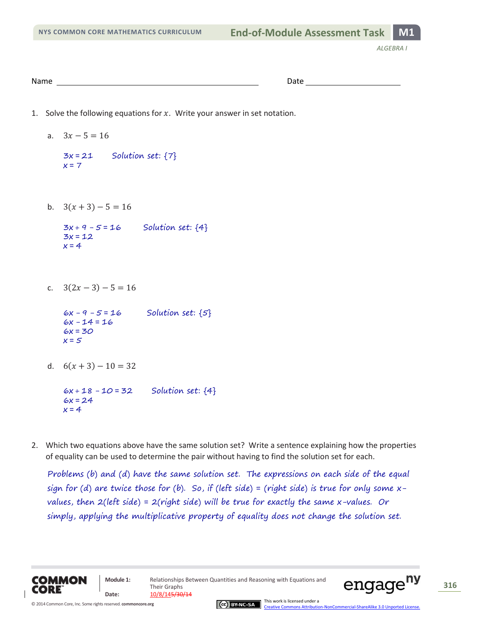| Name | .<br>.<br>---- |  |
|------|----------------|--|
|      |                |  |

- 1. Solve the following equations for  $x$ . Write your answer in set notation.
	- a.  $3x 5 = 16$

```
3x = 21Solution set: {7}
x = 7
```
b.  $3(x+3)-5=16$ 

 $3x + 9 - 5 = 16$ Solution set: {4}  $3x = 12$  $x = 4$ 

c.  $3(2x-3)-5=16$ 

 $6x - 9 - 5 = 16$ Solution set:  $\{5\}$  $6x - 14 = 16$  $6x = 30$  $x = 5$ 

d.  $6(x+3)-10=32$ 

 $6x + 18 - 10 = 32$ Solution set: {4}  $6x = 24$  $x = 4$ 

2. Which two equations above have the same solution set? Write a sentence explaining how the properties of equality can be used to determine the pair without having to find the solution set for each.

Problems (b) and (d) have the same solution set. The expressions on each side of the equal sign for (d) are twice those for (b). So, if (left side) = (right side) is true for only some  $x$ values, then  $2(left \, side) = 2(right \, side)$  will be true for exactly the same x-values. Or simply, applying the multiplicative property of equality does not change the solution set.





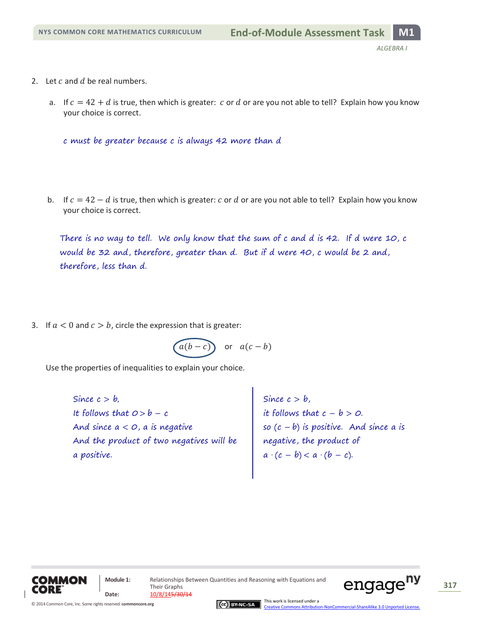- 2. Let  $c$  and  $d$  be real numbers.
	- a. If  $c = 42 + d$  is true, then which is greater: c or d or are you not able to tell? Explain how you know your choice is correct.

c must be greater because c is always 42 more than d

b. If  $c = 42 - d$  is true, then which is greater: c or d or are you not able to tell? Explain how you know your choice is correct.

There is no way to tell. We only know that the sum of c and d is 42. If d were 10, c would be 32 and, therefore, greater than d. But if d were 40, c would be 2 and, therefore, less than d.

3. If  $a < 0$  and  $c > b$ , circle the expression that is greater:

$$
\boxed{a(b-c)} \quad \text{or} \quad a(c-b)
$$

Use the properties of inequalities to explain your choice.

And since  $a < o$ , a is negative And the product of two negatives will be Since  $c > b$ , It follows that  $0 > b - c$ a positive.

Since  $c > b$ , it follows that  $c$  – b > 0. so  $(c - b)$  is positive. And since a is negative, the product of  $a \cdot (c - b) < a \cdot (b - c).$ 



Their Graphs Date:  $\frac{10/8/145/30/14}{10}$ 

**Module 1:** Relationships Between Quantities and Reasoning with Equations and



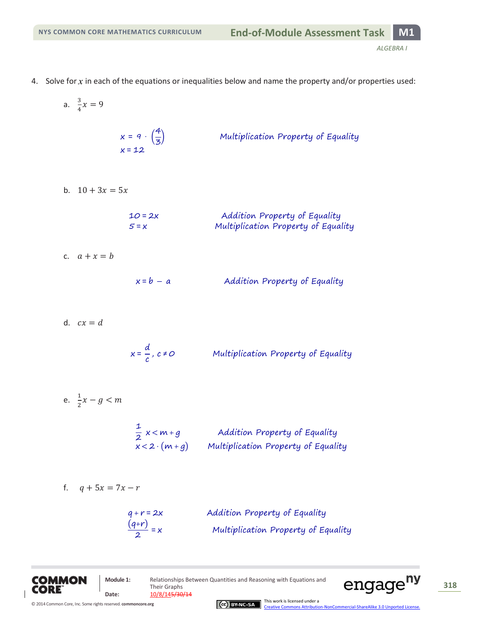- 4. Solve for *x* in each of the equations or inequalities below and name the property and/or properties used:
	- $x = q \cdot \left(\frac{4}{7}\right)$ Multiplication Property of Equality  $\frac{1}{3}$ x
	- b.  $10 + 3x = 5x$

a.  $\frac{3}{4}$  $\frac{5}{4}x$ 

| $10 = 2x$ | Addition Property of Equality       |
|-----------|-------------------------------------|
| $5 = x$   | Multiplication Property of Equality |

c.  $a + x = b$ 

 $x = b - a$ Addition Property of Equality

d.  $cx = d$ 

$$
x = \frac{d}{c}, c \neq 0
$$
 Multiplication Property of Equality

$$
e. \quad \frac{1}{2}x - g < m
$$

1  $\frac{1}{2}$  x  $x < 2 \cdot (m + q)$ 

$$
f. \qquad q + 5x = 7x - r
$$

| $q + r = 2x$          | Addition Property of Equality       |
|-----------------------|-------------------------------------|
| $\frac{(q+r)}{2} = x$ | Multiplication Property of Equality |





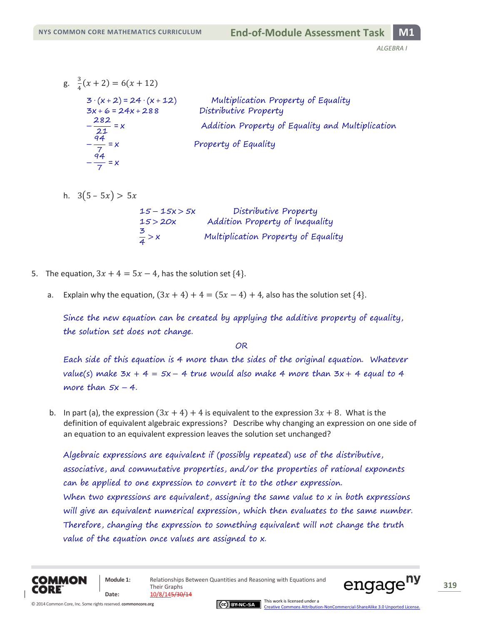- $g. \frac{3}{4}$  $\frac{3}{4}(x+2) = 6(x+12)$  $3 \cdot (x + 2) = 24 \cdot (x + 12)$ Multiplication Property of Equality  $3x + 6 = 24x + 288$ Distributive Property  $\frac{2}{1}$ Addition Property of Equality and Multiplication  $\overline{2}$  $-\frac{q}{q}$ Property of Equality  $\frac{1}{7}$  =  $-\frac{9}{7}$  $\frac{1}{7}$  =
- h.  $3(5 5x) > 5x$

| $15 - 15x > 5x$   | Distributive Property               |
|-------------------|-------------------------------------|
| 15 > 20x          | Addition Property of Inequality     |
| $\frac{1}{4}$ > x | Multiplication Property of Equality |

- 5. The equation,  $3x + 4 = 5x 4$ , has the solution set  $\{4\}$ .
	- a. Explain why the equation,  $(3x + 4) + 4 = (5x 4) + 4$ , also has the solution set  $\{4\}$ .

Since the new equation can be created by applying the additive property of equality, the solution set does not change.

OR

Each side of this equation is 4 more than the sides of the original equation. Whatever value(s) make  $3x + 4 = 5x - 4$  true would also make 4 more than  $3x + 4$  equal to 4 more than  $5x - 4$ .

b. In part (a), the expression  $(3x + 4) + 4$  is equivalent to the expression  $3x + 8$ . What is the definition of equivalent algebraic expressions? Describe why changing an expression on one side of an equation to an equivalent expression leaves the solution set unchanged?

Algebraic expressions are equivalent if (possibly repeated) use of the distributive, associative, and commutative properties, and/or the properties of rational exponents can be applied to one expression to convert it to the other expression. When two expressions are equivalent, assigning the same value to x in both expressions will give an equivalent numerical expression, which then evaluates to the same number. Therefore, changing the expression to something equivalent will not change the truth value of the equation once values are assigned to x.





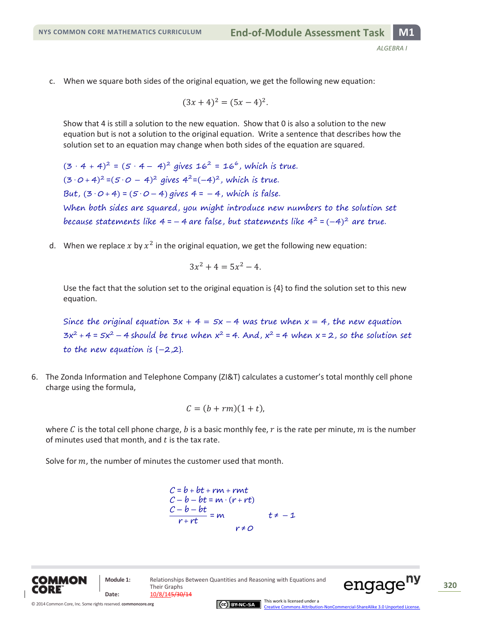c. When we square both sides of the original equation, we get the following new equation:

$$
(3x+4)^2 = (5x-4)^2.
$$

Show that 4 is still a solution to the new equation. Show that 0 is also a solution to the new equation but is not a solution to the original equation. Write a sentence that describes how the solution set to an equation may change when both sides of the equation are squared.

 $(3 \cdot 4 + 4)^2 = (5 \cdot 4 - 4)^2$  gives  $16^2 = 16^6$ , which is true.  $(3 \cdot 0 + 4)^2 = (5 \cdot 0 - 4)^2$  gives  $4^2 = (-4)^2$ , which is true. But,  $(3 \cdot 0 + 4) = (5 \cdot 0 - 4)$  gives  $4 = -4$ , which is false. When both sides are squared, you might introduce new numbers to the solution set because statements like 4 = – 4 are false, but statements like 4<sup>2</sup> = (–4)<sup>2</sup> are true.

d. When we replace x by  $x^2$  in the original equation, we get the following new equation:

$$
3x^2 + 4 = 5x^2 - 4.
$$

Use the fact that the solution set to the original equation is {4} to find the solution set to this new equation.

Since the original equation  $3x + 4 = 5x - 4$  was true when  $x = 4$ , the new equation  $3x^2 + 4 = 5x^2 - 4$  should be true when  $x^2 = 4$ . And,  $x^2 = 4$  when  $x = 2$ , so the solution set to the new equation is  $\{-2,2\}$ .

6. The Zonda Information and Telephone Company (ZI&T) calculates a customer's total monthly cell phone charge using the formula,

$$
C = (b + rm)(1 + t),
$$

where C is the total cell phone charge, b is a basic monthly fee, r is the rate per minute, m is the number of minutes used that month, and  $t$  is the tax rate.

Solve for  $m$ , the number of minutes the customer used that month.

$$
C = b + bt + rm + rmt
$$
  
\n
$$
C - b - bt = m \cdot (r + rt)
$$
  
\n
$$
\frac{C - b - bt}{r + rt} = m \qquad t \neq -1
$$
  
\n
$$
r \neq 0
$$



**Date:** 10/8/145/30/14



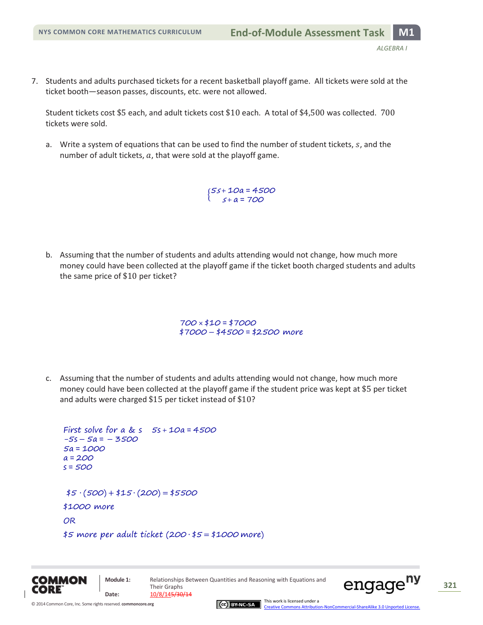7. Students and adults purchased tickets for a recent basketball playoff game. All tickets were sold at the ticket booth—season passes, discounts, etc. were not allowed.

Student tickets cost \$5 each, and adult tickets cost \$10 each. A total of \$4,500 was collected.  $700$ tickets were sold.

a. Write a system of equations that can be used to find the number of student tickets,  $s$ , and the number of adult tickets,  $a$ , that were sold at the playoff game.

> $\{5\}$ 5

b. Assuming that the number of students and adults attending would not change, how much more money could have been collected at the playoff game if the ticket booth charged students and adults the same price of  $$10$  per ticket?

> $700 \times $10 = $7000$ \$7000 - \$4500 = \$2500 more

c. Assuming that the number of students and adults attending would not change, how much more money could have been collected at the playoff game if the student price was kept at \$5 per ticket and adults were charged  $$15$  per ticket instead of  $$10?$ 

```
First solve for a & s 5s + 10a = 4500-5s - 5a = -35005a = 1000a = 200s = 500$5 \cdot (500) + $15 \cdot (200) = $5500$1000 more 
OR
$5 more per adult ticket (200.$5 = $1000 more)
```


[Creative Commons Attribution-NonCommercial-ShareAlike 3.0 Unported License.](http://creativecommons.org/licenses/by-nc-sa/3.0/deed.en_US)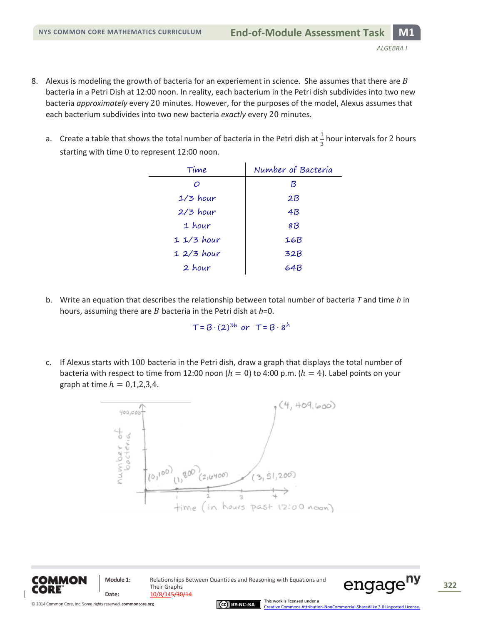- 8. Alexus is modeling the growth of bacteria for an experiement in science. She assumes that there are  $B$ bacteria in a Petri Dish at 12:00 noon. In reality, each bacterium in the Petri dish subdivides into two new bacteria *approximately* every 20 minutes. However, for the purposes of the model, Alexus assumes that each bacterium subdivides into two new bacteria *exactly* every 20 minutes.
	- a. Create a table that shows the total number of bacteria in the Petri dish at  $\frac{1}{3}$  hour intervals for 2 hours starting with time 0 to represent 12:00 noon.

| Time        | Number of Bacteria |
|-------------|--------------------|
| $\circ$     | ß                  |
| $1/3$ hour  | 2B                 |
| $2/3$ hour  | 4B                 |
| 1 hour      | 8B                 |
| $11/3$ hour | 16B                |
| $12/3$ hour | 32B                |
| 2 hour      | 64B                |

b. Write an equation that describes the relationship between total number of bacteria *T* and time *h* in hours, assuming there are *B* bacteria in the Petri dish at *h*=0.

 $T = B \cdot (2)^{3h}$  or  $T = B \cdot 8^h$ 

c. If Alexus starts with 100 bacteria in the Petri dish, draw a graph that displays the total number of bacteria with respect to time from 12:00 noon ( $h = 0$ ) to 4:00 p.m. ( $h = 4$ ). Label points on your graph at time  $h = 0.1, 2.3, 4$ .





**Module 1:** Relationships Between Quantities and Reasoning with Equations and Their Graphs Date:  $\frac{10/8/145/30/14}{10}$ 

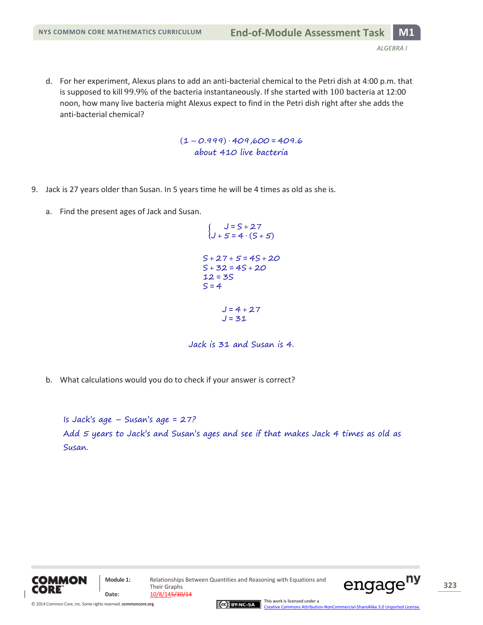d. For her experiment, Alexus plans to add an anti-bacterial chemical to the Petri dish at 4:00 p.m. that is supposed to kill 99.9% of the bacteria instantaneously. If she started with 100 bacteria at 12:00 noon, how many live bacteria might Alexus expect to find in the Petri dish right after she adds the anti-bacterial chemical?

> $(1 - 0.999) \cdot 409,600 = 409.6$ about 410 live bacteria

- 9. Jack is 27 years older than Susan. In 5 years time he will be 4 times as old as she is.
	- a. Find the present ages of Jack and Susan.

$$
\begin{cases}\nJ = S + 27 \\
J + 5 = 4 \cdot (S + 5)\n\end{cases}
$$
\n
$$
S + 27 + 5 = 4S + 20
$$
\n
$$
S + 32 = 4S + 20
$$
\n
$$
12 = 3S
$$
\n
$$
S = 4
$$
\n
$$
J = 4 + 27
$$
\n
$$
J = 31
$$

Jack is 31 and Susan is 4.

b. What calculations would you do to check if your answer is correct?

Is Jack's age  $-$  Susan's age  $= 27$ ? Add 5 years to Jack's and Susan's ages and see if that makes Jack 4 times as old as Susan.



Their Graphs **Date:** 10/8/145/30/14

**Module 1:** Relationships Between Quantities and Reasoning with Equations and





This work is licensed under a [Creative Commons Attribution-NonCommercial-ShareAlike 3.0 Unported License.](http://creativecommons.org/licenses/by-nc-sa/3.0/deed.en_US)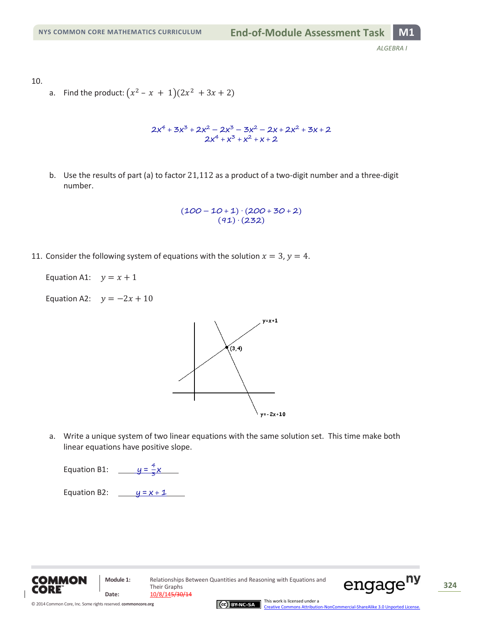10.

a. Find the product:  $(x^2 - x + 1)(2x^2 + 3x + 2)$ 

$$
2x^4 + 3x^3 + 2x^2 - 2x^3 - 3x^2 - 2x + 2x^2 + 3x + 2
$$
  

$$
2x^4 + x^3 + x^2 + x + 2
$$

b. Use the results of part (a) to factor  $21,112$  as a product of a two-digit number and a three-digit number.

> $(100 - 10 + 1) \cdot (200 + 30 + 2)$  $(91) (232)$

11. Consider the following system of equations with the solution  $x = 3$ ,  $y = 4$ .

Equation A1:  $y = x + 1$ 

Equation A2:  $y = -2x + 10$ 



a. Write a unique system of two linear equations with the same solution set. This time make both linear equations have positive slope.

Equation B1:  $y = \frac{4}{3}$  $\frac{1}{3}$ X

Equation B2:  $y = x + 1$ 





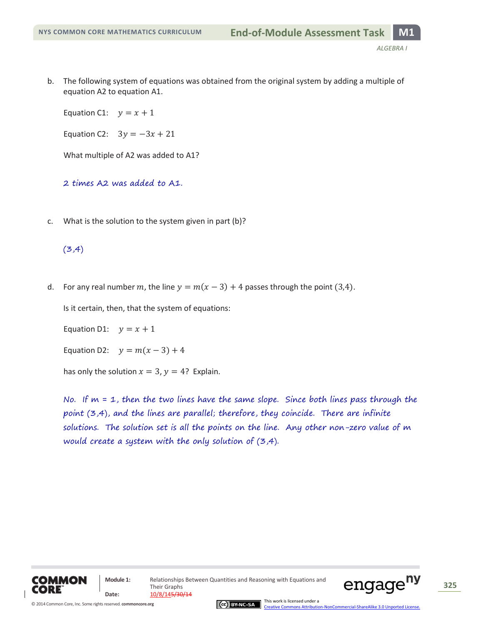b. The following system of equations was obtained from the original system by adding a multiple of equation A2 to equation A1.

Equation C1:  $y = x + 1$ 

Equation C2:  $3y = -3x + 21$ 

What multiple of A2 was added to A1?

2 times A2 was added to A1.

c. What is the solution to the system given in part (b)?

## $(3,4)$

d. For any real number m, the line  $y = m(x - 3) + 4$  passes through the point (3,4).

Is it certain, then, that the system of equations:

Equation D1:  $y = x + 1$ 

Equation D2:  $y = m(x - 3) + 4$ 

has only the solution  $x = 3$ ,  $y = 4$ ? Explain.

No. If  $m = 1$ , then the two lines have the same slope. Since both lines pass through the point (3,4), and the lines are parallel; therefore, they coincide. There are infinite solutions. The solution set is all the points on the line. Any other non-zero value of m would create a system with the only solution of (3,4).





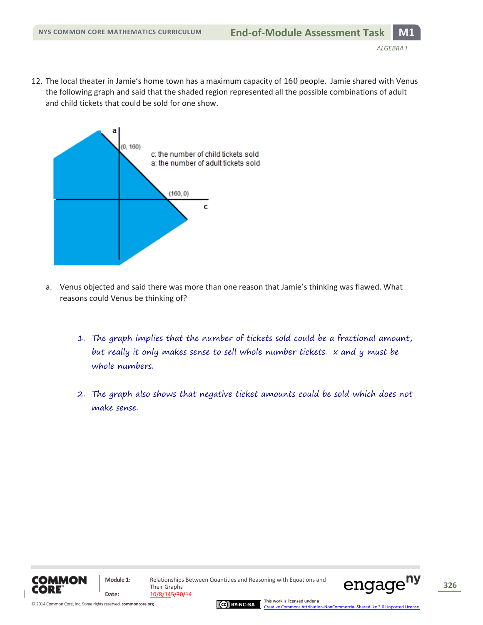12. The local theater in Jamie's home town has a maximum capacity of 160 people. Jamie shared with Venus the following graph and said that the shaded region represented all the possible combinations of adult and child tickets that could be sold for one show.



- a. Venus objected and said there was more than one reason that Jamie's thinking was flawed. What reasons could Venus be thinking of?
	- 1. The graph implies that the number of tickets sold could be a fractional amount, but really it only makes sense to sell whole number tickets. x and y must be whole numbers.
	- 2. The graph also shows that negative ticket amounts could be sold which does not make sense.